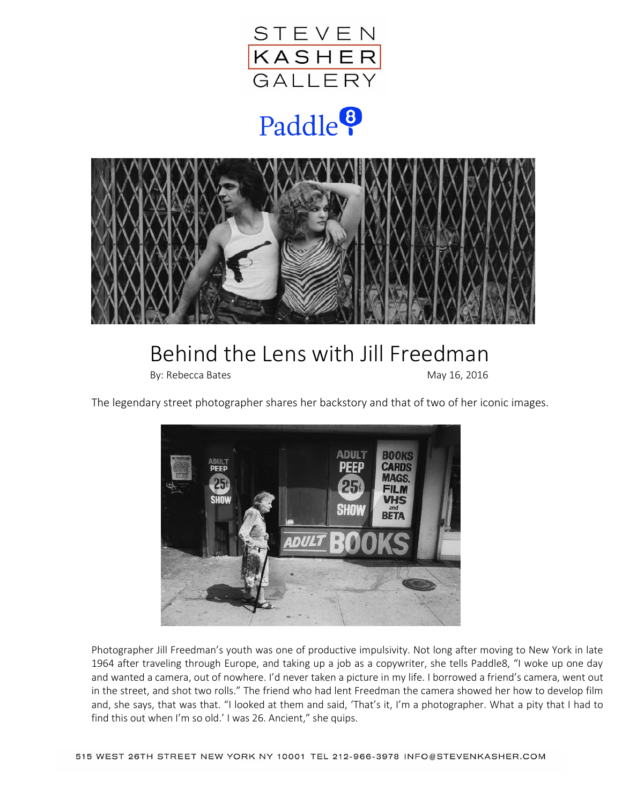

## Paddle<sup>8</sup>



## Behind the Lens with Jill Freedman

By: Rebecca Bates May 16, 2016

The legendary street photographer shares her backstory and that of two of her iconic images.



Photographer Jill Freedman's youth was one of productive impulsivity. Not long after moving to New York in late 1964 after traveling through Europe, and taking up a job as a copywriter, she tells Paddle8, "I woke up one day and wanted a camera, out of nowhere. I'd never taken a picture in my life. I borrowed a friend's camera, went out in the street, and shot two rolls." The friend who had lent Freedman the camera showed her how to develop film and, she says, that was that. "I looked at them and said, 'That's it, I'm a photographer. What a pity that I had to find this out when I'm so old.' I was 26. Ancient," she quips.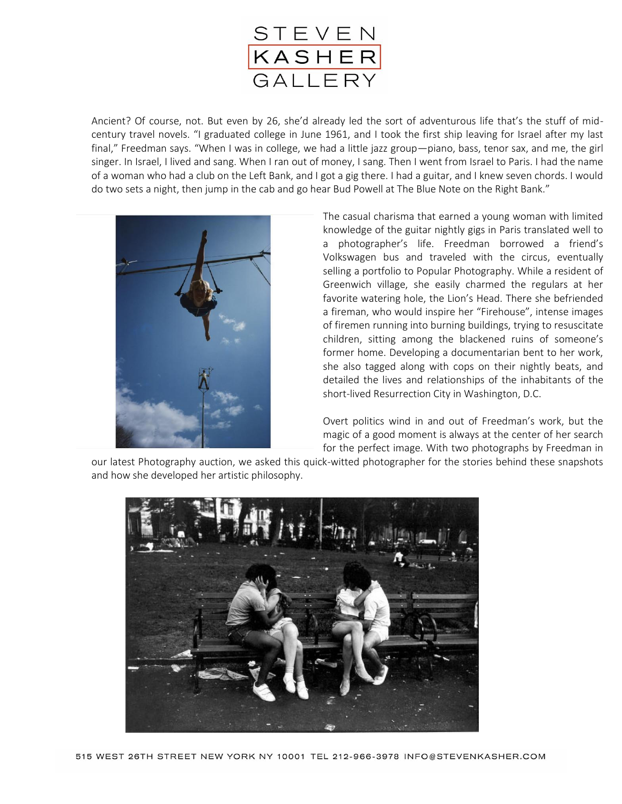

Ancient? Of course, not. But even by 26, she'd already led the sort of adventurous life that's the stuff of midcentury travel novels. "I graduated college in June 1961, and I took the first ship leaving for Israel after my last final," Freedman says. "When I was in college, we had a little jazz group—piano, bass, tenor sax, and me, the girl singer. In Israel, I lived and sang. When I ran out of money, I sang. Then I went from Israel to Paris. I had the name of a woman who had a club on the Left Bank, and I got a gig there. I had a guitar, and I knew seven chords. I would do two sets a night, then jump in the cab and go hear Bud Powell at The Blue Note on the Right Bank."



The casual charisma that earned a young woman with limited knowledge of the guitar nightly gigs in Paris translated well to a photographer's life. Freedman borrowed a friend's Volkswagen bus and traveled with the circus, eventually selling a portfolio to Popular Photography. While a resident of Greenwich village, she easily charmed the regulars at her favorite watering hole, the Lion's Head. There she befriended a fireman, who would inspire her "Firehouse", intense images of firemen running into burning buildings, trying to resuscitate children, sitting among the blackened ruins of someone's former home. Developing a documentarian bent to her work, she also tagged along with cops on their nightly beats, and detailed the lives and relationships of the inhabitants of the short-lived Resurrection City in Washington, D.C.

Overt politics wind in and out of Freedman's work, but the magic of a good moment is always at the center of her search for the perfect image. With two photographs by Freedman in

our latest Photography auction, we asked this quick-witted photographer for the stories behind these snapshots and how she developed her artistic philosophy.

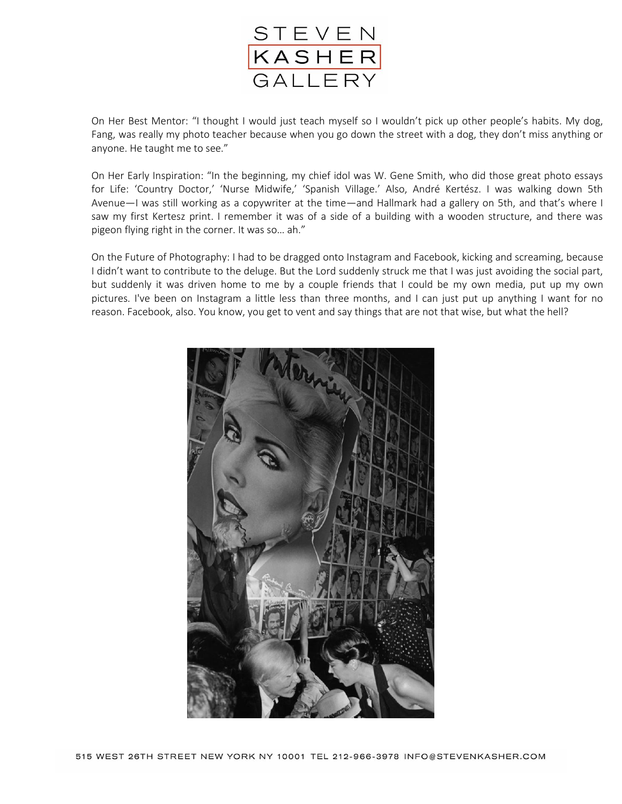

On Her Best Mentor: "I thought I would just teach myself so I wouldn't pick up other people's habits. My dog, Fang, was really my photo teacher because when you go down the street with a dog, they don't miss anything or anyone. He taught me to see."

On Her Early Inspiration: "In the beginning, my chief idol was W. Gene Smith, who did those great photo essays for Life: 'Country Doctor,' 'Nurse Midwife,' 'Spanish Village.' Also, André Kertész. I was walking down 5th Avenue—I was still working as a copywriter at the time—and Hallmark had a gallery on 5th, and that's where I saw my first Kertesz print. I remember it was of a side of a building with a wooden structure, and there was pigeon flying right in the corner. It was so… ah."

On the Future of Photography: I had to be dragged onto Instagram and Facebook, kicking and screaming, because I didn't want to contribute to the deluge. But the Lord suddenly struck me that I was just avoiding the social part, but suddenly it was driven home to me by a couple friends that I could be my own media, put up my own pictures. I've been on Instagram a little less than three months, and I can just put up anything I want for no reason. Facebook, also. You know, you get to vent and say things that are not that wise, but what the hell?